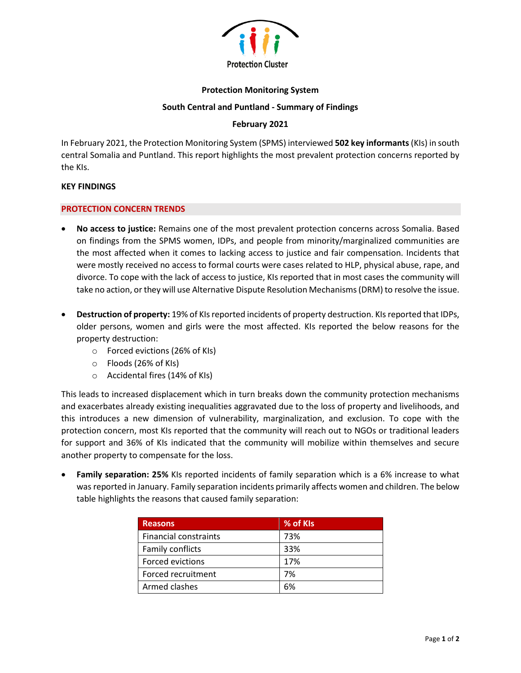

### **Protection Monitoring System**

### **South Central and Puntland - Summary of Findings**

# **February 2021**

In February 2021, the Protection Monitoring System (SPMS) interviewed **502 key informants**(KIs) in south central Somalia and Puntland. This report highlights the most prevalent protection concerns reported by the KIs.

#### **KEY FINDINGS**

#### **PROTECTION CONCERN TRENDS**

- **No access to justice:** Remains one of the most prevalent protection concerns across Somalia. Based on findings from the SPMS women, IDPs, and people from minority/marginalized communities are the most affected when it comes to lacking access to justice and fair compensation. Incidents that were mostly received no access to formal courts were cases related to HLP, physical abuse, rape, and divorce. To cope with the lack of access to justice, KIs reported that in most cases the community will take no action, or they will use Alternative Dispute Resolution Mechanisms (DRM) to resolve the issue.
- **Destruction of property:** 19% of KIs reported incidents of property destruction. KIs reported that IDPs, older persons, women and girls were the most affected. KIs reported the below reasons for the property destruction:
	- o Forced evictions (26% of KIs)
	- o Floods (26% of KIs)
	- o Accidental fires (14% of KIs)

This leads to increased displacement which in turn breaks down the community protection mechanisms and exacerbates already existing inequalities aggravated due to the loss of property and livelihoods, and this introduces a new dimension of vulnerability, marginalization, and exclusion. To cope with the protection concern, most KIs reported that the community will reach out to NGOs or traditional leaders for support and 36% of KIs indicated that the community will mobilize within themselves and secure another property to compensate for the loss.

• **Family separation: 25%** KIs reported incidents of family separation which is a 6% increase to what was reported in January. Family separation incidents primarily affects women and children. The below table highlights the reasons that caused family separation:

| <b>Reasons</b>               | % of KIs |
|------------------------------|----------|
| <b>Financial constraints</b> | 73%      |
| <b>Family conflicts</b>      | 33%      |
| Forced evictions             | 17%      |
| Forced recruitment           | 7%       |
| Armed clashes                | 6%       |